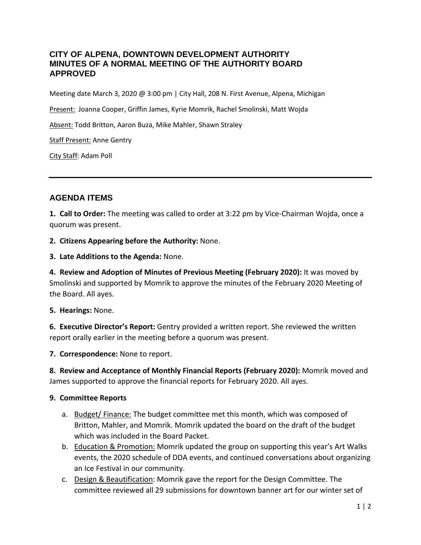## **CITY OF ALPENA, DOWNTOWN DEVELOPMENT AUTHORITY MINUTES OF A NORMAL MEETING OF THE AUTHORITY BOARD APPROVED**

Meeting date March 3, 2020 @ 3:00 pm | City Hall, 208 N. First Avenue, Alpena, Michigan

Present: Joanna Cooper, Griffin James, Kyrie Momrik, Rachel Smolinski, Matt Wojda

Absent: Todd Britton, Aaron Buza, Mike Mahler, Shawn Straley

Staff Present: Anne Gentry

City Staff: Adam Poll

## **AGENDA ITEMS**

**1. Call to Order:** The meeting was called to order at 3:22 pm by Vice-Chairman Wojda, once a quorum was present.

**2. Citizens Appearing before the Authority:** None.

**3. Late Additions to the Agenda:** None.

**4. Review and Adoption of Minutes of Previous Meeting (February 2020):** It was moved by Smolinski and supported by Momrik to approve the minutes of the February 2020 Meeting of the Board. All ayes.

## **5. Hearings:** None.

**6. Executive Director's Report:** Gentry provided a written report. She reviewed the written report orally earlier in the meeting before a quorum was present.

**7. Correspondence:** None to report.

**8. Review and Acceptance of Monthly Financial Reports (February 2020):** Momrik moved and James supported to approve the financial reports for February 2020. All ayes.

## **9. Committee Reports**

- a. Budget/ Finance: The budget committee met this month, which was composed of Britton, Mahler, and Momrik. Momrik updated the board on the draft of the budget which was included in the Board Packet.
- b. Education & Promotion: Momrik updated the group on supporting this year's Art Walks events, the 2020 schedule of DDA events, and continued conversations about organizing an Ice Festival in our community.
- c. Design & Beautification: Momrik gave the report for the Design Committee. The committee reviewed all 29 submissions for downtown banner art for our winter set of